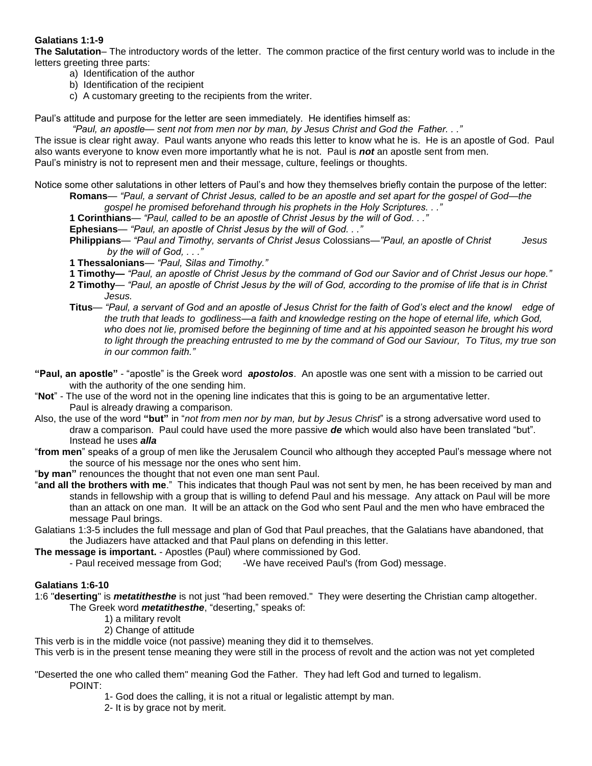### **Galatians 1:1-9**

**The Salutation**– The introductory words of the letter. The common practice of the first century world was to include in the letters greeting three parts:

- a) Identification of the author
- b) Identification of the recipient
- c) A customary greeting to the recipients from the writer.

Paul's attitude and purpose for the letter are seen immediately. He identifies himself as:

*"Paul, an apostle— sent not from men nor by man, by Jesus Christ and God the Father. . ."*

The issue is clear right away. Paul wants anyone who reads this letter to know what he is. He is an apostle of God. Paul also wants everyone to know even more importantly what he is not. Paul is *not* an apostle sent from men. Paul's ministry is not to represent men and their message, culture, feelings or thoughts.

Notice some other salutations in other letters of Paul's and how they themselves briefly contain the purpose of the letter: **Romans**— *"Paul, a servant of Christ Jesus, called to be an apostle and set apart for the gospel of God—the* 

*gospel he promised beforehand through his prophets in the Holy Scriptures. . ."*

**1 Corinthians***— "Paul, called to be an apostle of Christ Jesus by the will of God. . ."*

**Ephesians**— *"Paul, an apostle of Christ Jesus by the will of God. . ."*

- **Philippians***— "Paul and Timothy, servants of Christ Jesus* Colossians*—"Paul, an apostle of Christ Jesus by the will of God, . . ."*
- **1 Thessalonians***— "Paul, Silas and Timothy."*
- **1 Timothy—** *"Paul, an apostle of Christ Jesus by the command of God our Savior and of Christ Jesus our hope."*
- **2 Timothy***— "Paul, an apostle of Christ Jesus by the will of God, according to the promise of life that is in Christ*  *Jesus.*
- **Titus***— "Paul, a servant of God and an apostle of Jesus Christ for the faith of God's elect and the knowl edge of the truth that leads to godliness—a faith and knowledge resting on the hope of eternal life, which God, who does not lie, promised before the beginning of time and at his appointed season he brought his word to light through the preaching entrusted to me by the command of God our Saviour, To Titus, my true son in our common faith."*
- **"Paul, an apostle"**  "apostle" is the Greek word *apostolos*. An apostle was one sent with a mission to be carried out with the authority of the one sending him.
- "**Not**" The use of the word not in the opening line indicates that this is going to be an argumentative letter. Paul is already drawing a comparison.
- Also, the use of the word **"but"** in "*not from men nor by man, but by Jesus Christ*" is a strong adversative word used to draw a comparison. Paul could have used the more passive *de* which would also have been translated "but". Instead he uses *alla*
- "**from men**" speaks of a group of men like the Jerusalem Council who although they accepted Paul's message where not the source of his message nor the ones who sent him.

"**by man"** renounces the thought that not even one man sent Paul.

- "**and all the brothers with me**." This indicates that though Paul was not sent by men, he has been received by man and stands in fellowship with a group that is willing to defend Paul and his message. Any attack on Paul will be more than an attack on one man. It will be an attack on the God who sent Paul and the men who have embraced the message Paul brings.
- Galatians 1:3-5 includes the full message and plan of God that Paul preaches, that the Galatians have abandoned, that the Judiazers have attacked and that Paul plans on defending in this letter.

**The message is important.** - Apostles (Paul) where commissioned by God.

- Paul received message from God; - We have received Paul's (from God) message.

### **Galatians 1:6-10**

1:6 "**deserting**" is *metatithesthe* is not just "had been removed." They were deserting the Christian camp altogether. The Greek word *metatithesthe*, "deserting," speaks of:

- 1) a military revolt
- 2) Change of attitude

This verb is in the middle voice (not passive) meaning they did it to themselves.

This verb is in the present tense meaning they were still in the process of revolt and the action was not yet completed

"Deserted the one who called them" meaning God the Father. They had left God and turned to legalism. POINT:

1- God does the calling, it is not a ritual or legalistic attempt by man.

2- It is by grace not by merit.